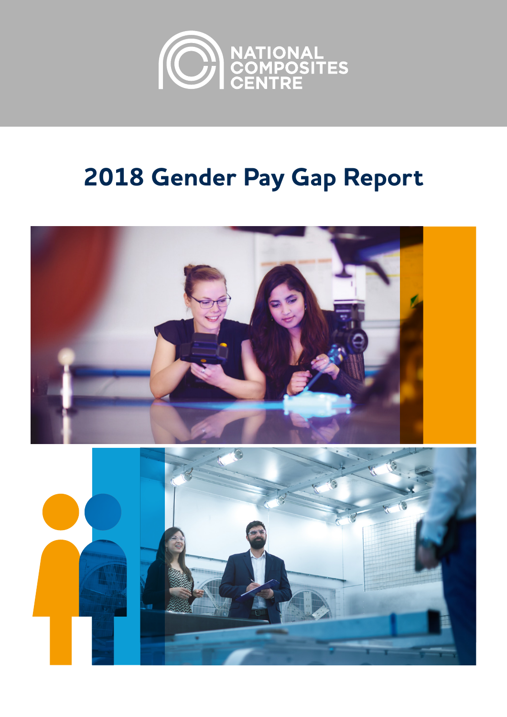

# **2018 Gender Pay Gap Report**

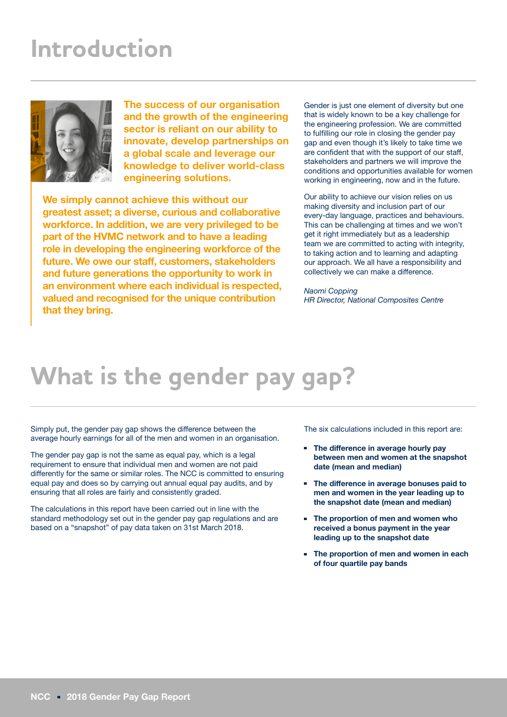### **Introduction**



**The success of our organisation and the growth of the engineering sector is reliant on our ability to innovate, develop partnerships on a global scale and leverage our knowledge to deliver world-class engineering solutions.** 

**We simply cannot achieve this without our greatest asset; a diverse, curious and collaborative workforce. In addition, we are very privileged to be part of the HVMC network and to have a leading role in developing the engineering workforce of the future. We owe our staff, customers, stakeholders and future generations the opportunity to work in an environment where each individual is respected, valued and recognised for the unique contribution that they bring.** 

Gender is just one element of diversity but one that is widely known to be a key challenge for the engineering profession. We are committed to fulfilling our role in closing the gender pay gap and even though it's likely to take time we are confident that with the support of our staff, stakeholders and partners we will improve the conditions and opportunities available for women working in engineering, now and in the future.

Our ability to achieve our vision relies on us making diversity and inclusion part of our every-day language, practices and behaviours. This can be challenging at times and we won't get it right immediately but as a leadership team we are committed to acting with integrity, to taking action and to learning and adapting our approach. We all have a responsibility and collectively we can make a difference.

*Naomi Copping HR Director, National Composites Centre*

#### **What is the gender pay gap?**

Simply put, the gender pay gap shows the difference between the average hourly earnings for all of the men and women in an organisation.

The gender pay gap is not the same as equal pay, which is a legal requirement to ensure that individual men and women are not paid differently for the same or similar roles. The NCC is committed to ensuring equal pay and does so by carrying out annual equal pay audits, and by ensuring that all roles are fairly and consistently graded.

The calculations in this report have been carried out in line with the standard methodology set out in the gender pay gap regulations and are based on a "snapshot" of pay data taken on 31st March 2018.

The six calculations included in this report are:

- **The difference in average hourly pay between men and women at the snapshot date (mean and median)**
- **The difference in average bonuses paid to men and women in the year leading up to the snapshot date (mean and median)**
- **The proportion of men and women who received a bonus payment in the year leading up to the snapshot date**
- **The proportion of men and women in each of four quartile pay bands**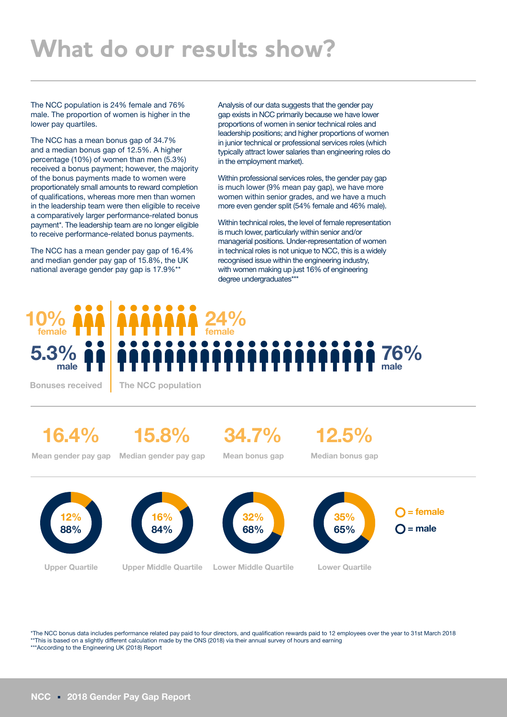### **What do our results show?**

The NCC population is 24% female and 76% male. The proportion of women is higher in the lower pay quartiles.

The NCC has a mean bonus gap of 34.7% and a median bonus gap of 12.5%. A higher percentage (10%) of women than men (5.3%) received a bonus payment; however, the majority of the bonus payments made to women were proportionately small amounts to reward completion of qualifications, whereas more men than women in the leadership team were then eligible to receive a comparatively larger performance-related bonus payment\*. The leadership team are no longer eligible to receive performance-related bonus payments.

The NCC has a mean gender pay gap of 16.4% and median gender pay gap of 15.8%, the UK national average gender pay gap is 17.9%\*\*

**5.3% male 10% female**

**Bonuses received The NCC population**

**16.4%**

**15.8%**

**34.7%**

**24% female**

**12.5%**

Analysis of our data suggests that the gender pay gap exists in NCC primarily because we have lower proportions of women in senior technical roles and leadership positions; and higher proportions of women in junior technical or professional services roles (which typically attract lower salaries than engineering roles do

Within professional services roles, the gender pay gap is much lower (9% mean pay gap), we have more women within senior grades, and we have a much more even gender split (54% female and 46% male). Within technical roles, the level of female representation is much lower, particularly within senior and/or managerial positions. Under-representation of women in technical roles is not unique to NCC, this is a widely recognised issue within the engineering industry, with women making up just 16% of engineering

in the employment market).

degree undergraduates\*\*\*

**Mean gender pay gap Median gender pay gap**

**Mean bonus gap**

**Median bonus gap**

**76% male**



\*The NCC bonus data includes performance related pay paid to four directors, and qualification rewards paid to 12 employees over the year to 31st March 2018 \*\*This is based on a slightly different calculation made by the ONS (2018) via their annual survey of hours and earning \*\*\*According to the Engineering UK (2018) Report